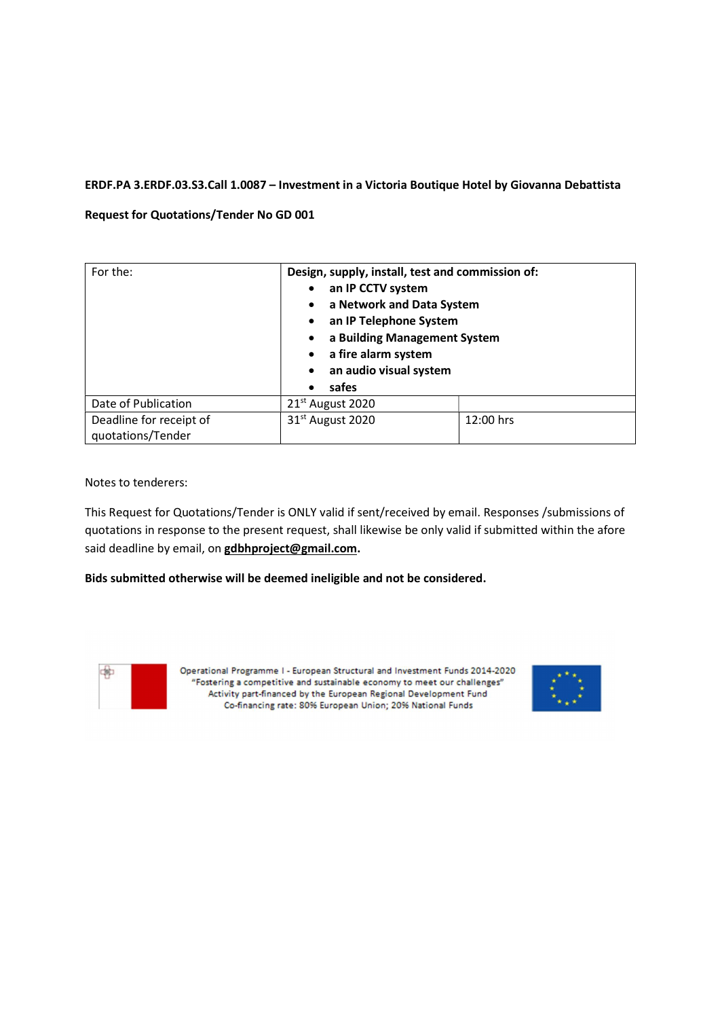## ERDF.PA 3.ERDF.03.S3.Call 1.0087 – Investment in a Victoria Boutique Hotel by Giovanna Debattista

## Request for Quotations/Tender No GD 001

| For the:                                     | Design, supply, install, test and commission of:<br>an IP CCTV system<br>a Network and Data System<br>an IP Telephone System<br>$\bullet$<br>a Building Management System<br>$\bullet$<br>a fire alarm system<br>an audio visual system<br>safes<br>$\bullet$ |           |
|----------------------------------------------|---------------------------------------------------------------------------------------------------------------------------------------------------------------------------------------------------------------------------------------------------------------|-----------|
| Date of Publication                          | 21 <sup>st</sup> August 2020                                                                                                                                                                                                                                  |           |
| Deadline for receipt of<br>quotations/Tender | 31 <sup>st</sup> August 2020                                                                                                                                                                                                                                  | 12:00 hrs |

Notes to tenderers:

This Request for Quotations/Tender is ONLY valid if sent/received by email. Responses /submissions of quotations in response to the present request, shall likewise be only valid if submitted within the afore said deadline by email, on gdbhproject@gmail.com.

Bids submitted otherwise will be deemed ineligible and not be considered.



Operational Programme I - European Structural and Investment Funds 2014-2020 "Fostering a competitive and sustainable economy to meet our challenges" Activity part-financed by the European Regional Development Fund Co-financing rate: 80% European Union; 20% National Funds

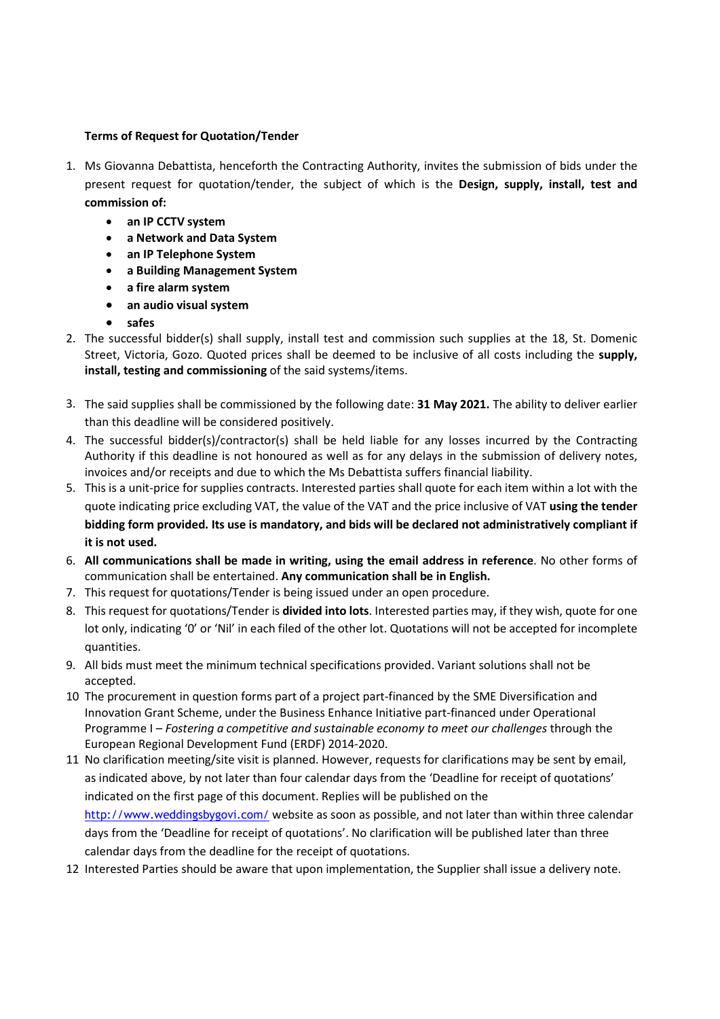## Terms of Request for Quotation/Tender

- 1. Ms Giovanna Debattista, henceforth the Contracting Authority, invites the submission of bids under the present request for quotation/tender, the subject of which is the Design, supply, install, test and commission of:
	- an IP CCTV system
	- a Network and Data System
	- an IP Telephone System
	- a Building Management System
	- a fire alarm system
	- an audio visual system
	- safes
- 2. The successful bidder(s) shall supply, install test and commission such supplies at the 18, St. Domenic Street, Victoria, Gozo. Quoted prices shall be deemed to be inclusive of all costs including the supply, install, testing and commissioning of the said systems/items.
- 3. The said supplies shall be commissioned by the following date: 31 May 2021. The ability to deliver earlier than this deadline will be considered positively.
- 4. The successful bidder(s)/contractor(s) shall be held liable for any losses incurred by the Contracting Authority if this deadline is not honoured as well as for any delays in the submission of delivery notes, invoices and/or receipts and due to which the Ms Debattista suffers financial liability.
- 5. This is a unit-price for supplies contracts. Interested parties shall quote for each item within a lot with the quote indicating price excluding VAT, the value of the VAT and the price inclusive of VAT using the tender bidding form provided. Its use is mandatory, and bids will be declared not administratively compliant if it is not used.
- 6. All communications shall be made in writing, using the email address in reference. No other forms of communication shall be entertained. Any communication shall be in English.
- 7. This request for quotations/Tender is being issued under an open procedure.
- 8. This request for quotations/Tender is **divided into lots**. Interested parties may, if they wish, quote for one lot only, indicating '0' or 'Nil' in each filed of the other lot. Quotations will not be accepted for incomplete quantities.
- 9. All bids must meet the minimum technical specifications provided. Variant solutions shall not be accepted.
- 10. The procurement in question forms part of a project part-financed by the SME Diversification and Innovation Grant Scheme, under the Business Enhance Initiative part-financed under Operational Programme I – Fostering a competitive and sustainable economy to meet our challenges through the European Regional Development Fund (ERDF) 2014-2020.
- 11. No clarification meeting/site visit is planned. However, requests for clarifications may be sent by email, as indicated above, by not later than four calendar days from the 'Deadline for receipt of quotations' indicated on the first page of this document. Replies will be published on the http://www.weddingsbygovi.com/ website as soon as possible, and not later than within three calendar days from the 'Deadline for receipt of quotations'. No clarification will be published later than three calendar days from the deadline for the receipt of quotations.
- 12. Interested Parties should be aware that upon implementation, the Supplier shall issue a delivery note.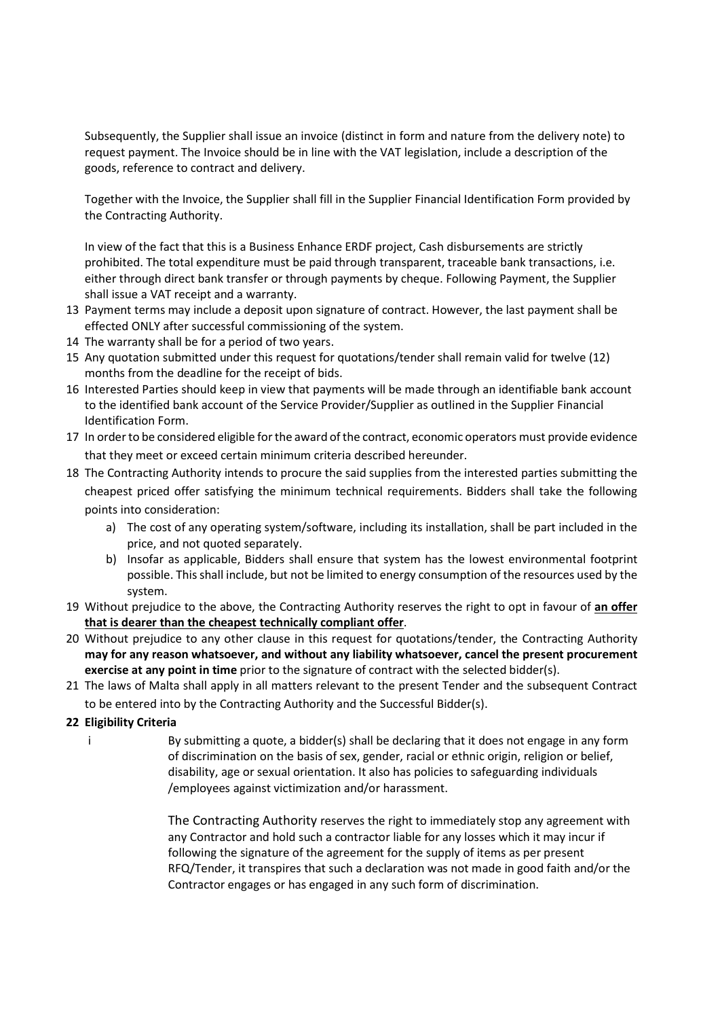Subsequently, the Supplier shall issue an invoice (distinct in form and nature from the delivery note) to request payment. The Invoice should be in line with the VAT legislation, include a description of the goods, reference to contract and delivery.

Together with the Invoice, the Supplier shall fill in the Supplier Financial Identification Form provided by the Contracting Authority.

In view of the fact that this is a Business Enhance ERDF project, Cash disbursements are strictly prohibited. The total expenditure must be paid through transparent, traceable bank transactions, i.e. either through direct bank transfer or through payments by cheque. Following Payment, the Supplier shall issue a VAT receipt and a warranty.

- 13. Payment terms may include a deposit upon signature of contract. However, the last payment shall be effected ONLY after successful commissioning of the system.
- 14 The warranty shall be for a period of two years.
- 15. Any quotation submitted under this request for quotations/tender shall remain valid for twelve (12) months from the deadline for the receipt of bids.
- 16. Interested Parties should keep in view that payments will be made through an identifiable bank account to the identified bank account of the Service Provider/Supplier as outlined in the Supplier Financial Identification Form.
- 17. In order to be considered eligible for the award of the contract, economic operators must provide evidence that they meet or exceed certain minimum criteria described hereunder.
- 18. The Contracting Authority intends to procure the said supplies from the interested parties submitting the cheapest priced offer satisfying the minimum technical requirements. Bidders shall take the following points into consideration:
	- a) The cost of any operating system/software, including its installation, shall be part included in the price, and not quoted separately.
	- b) Insofar as applicable, Bidders shall ensure that system has the lowest environmental footprint possible. This shall include, but not be limited to energy consumption of the resources used by the system.
- 19. Without prejudice to the above, the Contracting Authority reserves the right to opt in favour of an offer that is dearer than the cheapest technically compliant offer.
- 20. Without prejudice to any other clause in this request for quotations/tender, the Contracting Authority may for any reason whatsoever, and without any liability whatsoever, cancel the present procurement exercise at any point in time prior to the signature of contract with the selected bidder(s).
- 21. The laws of Malta shall apply in all matters relevant to the present Tender and the subsequent Contract to be entered into by the Contracting Authority and the Successful Bidder(s).

# 22. Eligibility Criteria

i By submitting a quote, a bidder(s) shall be declaring that it does not engage in any form of discrimination on the basis of sex, gender, racial or ethnic origin, religion or belief, disability, age or sexual orientation. It also has policies to safeguarding individuals /employees against victimization and/or harassment.

> The Contracting Authority reserves the right to immediately stop any agreement with any Contractor and hold such a contractor liable for any losses which it may incur if following the signature of the agreement for the supply of items as per present RFQ/Tender, it transpires that such a declaration was not made in good faith and/or the Contractor engages or has engaged in any such form of discrimination.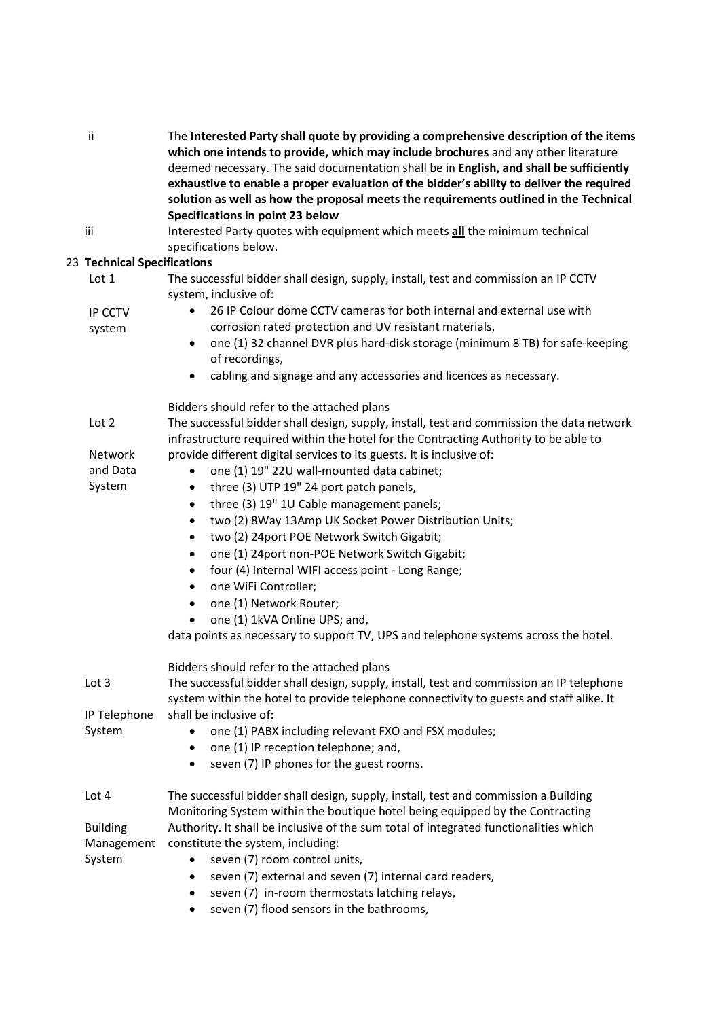| ii. | The Interested Party shall quote by providing a comprehensive description of the items   |
|-----|------------------------------------------------------------------------------------------|
|     | which one intends to provide, which may include brochures and any other literature       |
|     | deemed necessary. The said documentation shall be in English, and shall be sufficiently  |
|     | exhaustive to enable a proper evaluation of the bidder's ability to deliver the required |
|     | solution as well as how the proposal meets the requirements outlined in the Technical    |
|     | Specifications in point 23 below                                                         |

iii Interested Party quotes with equipment which meets all the minimum technical specifications below.

# 23. Technical Specifications

| s Technical Specifications |                                                                                                                                                                                     |
|----------------------------|-------------------------------------------------------------------------------------------------------------------------------------------------------------------------------------|
| Lot <sub>1</sub>           | The successful bidder shall design, supply, install, test and commission an IP CCTV<br>system, inclusive of:                                                                        |
| IP CCTV<br>system          | 26 IP Colour dome CCTV cameras for both internal and external use with<br>$\bullet$<br>corrosion rated protection and UV resistant materials,                                       |
|                            | one (1) 32 channel DVR plus hard-disk storage (minimum 8 TB) for safe-keeping<br>$\bullet$<br>of recordings,                                                                        |
|                            | cabling and signage and any accessories and licences as necessary.<br>$\bullet$                                                                                                     |
|                            | Bidders should refer to the attached plans                                                                                                                                          |
| Lot 2                      | The successful bidder shall design, supply, install, test and commission the data network<br>infrastructure required within the hotel for the Contracting Authority to be able to   |
| Network                    | provide different digital services to its guests. It is inclusive of:                                                                                                               |
| and Data<br>System         | one (1) 19" 22U wall-mounted data cabinet;<br>$\bullet$                                                                                                                             |
|                            | three (3) UTP 19" 24 port patch panels,<br>$\bullet$<br>three (3) 19" 1U Cable management panels;<br>$\bullet$                                                                      |
|                            | two (2) 8Way 13Amp UK Socket Power Distribution Units;<br>$\bullet$                                                                                                                 |
|                            | two (2) 24port POE Network Switch Gigabit;<br>$\bullet$                                                                                                                             |
|                            | one (1) 24port non-POE Network Switch Gigabit;<br>$\bullet$                                                                                                                         |
|                            | four (4) Internal WIFI access point - Long Range;<br>$\bullet$                                                                                                                      |
|                            | one WiFi Controller;<br>$\bullet$                                                                                                                                                   |
|                            | one (1) Network Router;<br>$\bullet$                                                                                                                                                |
|                            | one (1) 1kVA Online UPS; and,<br>data points as necessary to support TV, UPS and telephone systems across the hotel.                                                                |
|                            | Bidders should refer to the attached plans                                                                                                                                          |
| Lot 3                      | The successful bidder shall design, supply, install, test and commission an IP telephone<br>system within the hotel to provide telephone connectivity to guests and staff alike. It |
| IP Telephone               | shall be inclusive of:                                                                                                                                                              |
| System                     | one (1) PABX including relevant FXO and FSX modules;<br>٠                                                                                                                           |
|                            | one (1) IP reception telephone; and,<br>$\bullet$<br>seven (7) IP phones for the guest rooms.<br>$\bullet$                                                                          |
| Lot 4                      | The successful bidder shall design, supply, install, test and commission a Building<br>Monitoring System within the boutique hotel being equipped by the Contracting                |
| <b>Building</b>            | Authority. It shall be inclusive of the sum total of integrated functionalities which                                                                                               |
| Management                 | constitute the system, including:                                                                                                                                                   |
| System                     | seven (7) room control units,                                                                                                                                                       |
|                            | seven (7) external and seven (7) internal card readers,                                                                                                                             |
|                            | seven (7) in-room thermostats latching relays,<br>$\bullet$                                                                                                                         |
|                            | seven (7) flood sensors in the bathrooms,                                                                                                                                           |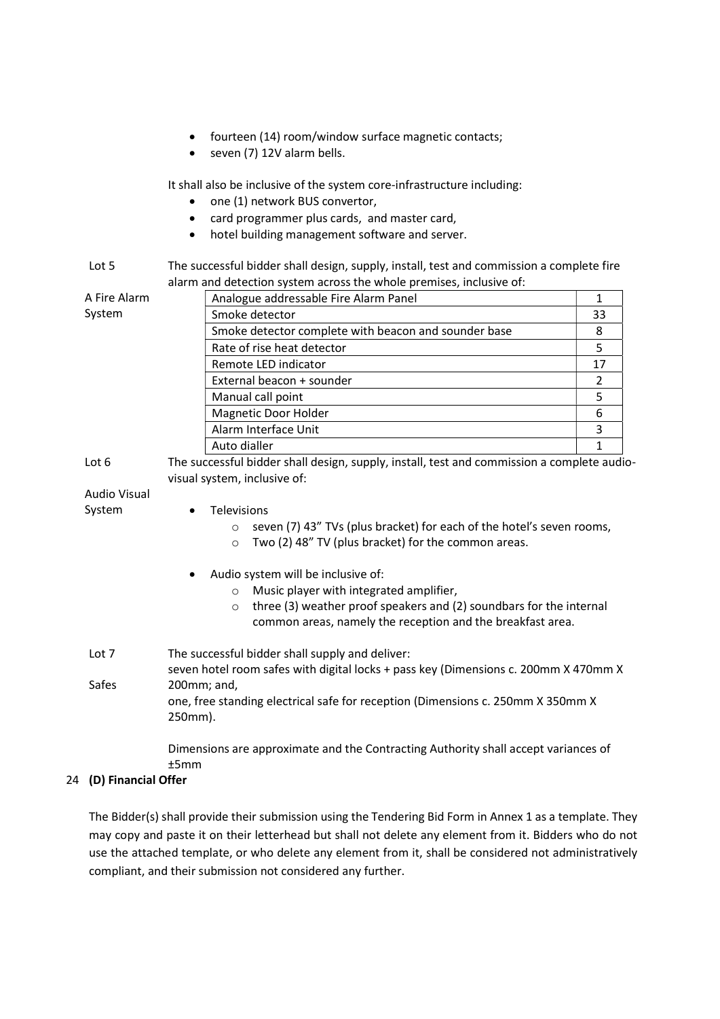- fourteen (14) room/window surface magnetic contacts;
- seven (7) 12V alarm bells.

It shall also be inclusive of the system core-infrastructure including:

- one (1) network BUS convertor,
- card programmer plus cards, and master card,
- hotel building management software and server.

#### Lot 5 The successful bidder shall design, supply, install, test and commission a complete fire alarm and detection system across the whole premises, inclusive of:

| A Fire Alarm                                                                                                                          | Analogue addressable Fire Alarm Panel                |    |  |
|---------------------------------------------------------------------------------------------------------------------------------------|------------------------------------------------------|----|--|
| System                                                                                                                                | Smoke detector                                       | 33 |  |
|                                                                                                                                       | Smoke detector complete with beacon and sounder base | 8  |  |
|                                                                                                                                       | Rate of rise heat detector                           | 5  |  |
|                                                                                                                                       | Remote LED indicator                                 | 17 |  |
|                                                                                                                                       | External beacon + sounder                            | 2  |  |
|                                                                                                                                       | Manual call point                                    | 5  |  |
|                                                                                                                                       | Magnetic Door Holder                                 | 6  |  |
|                                                                                                                                       | Alarm Interface Unit                                 | 3  |  |
|                                                                                                                                       | Auto dialler                                         |    |  |
| The successful bidder shall design, supply, install, test and commission a complete audio-<br>Lot $6$<br>visual system, inclusive of: |                                                      |    |  |

# Audio Visual

## System

- o seven (7) 43" TVs (plus bracket) for each of the hotel's seven rooms,
- o Two (2) 48" TV (plus bracket) for the common areas.
- Audio system will be inclusive of:

**•** Televisions

- o Music player with integrated amplifier,
- o three (3) weather proof speakers and (2) soundbars for the internal common areas, namely the reception and the breakfast area.
- Lot 7 Safes The successful bidder shall supply and deliver: seven hotel room safes with digital locks + pass key (Dimensions c. 200mm X 470mm X 200mm; and, one, free standing electrical safe for reception (Dimensions c. 250mm X 350mm X 250mm).

Dimensions are approximate and the Contracting Authority shall accept variances of ±5mm

# 24. (D) Financial Offer

The Bidder(s) shall provide their submission using the Tendering Bid Form in Annex 1 as a template. They may copy and paste it on their letterhead but shall not delete any element from it. Bidders who do not use the attached template, or who delete any element from it, shall be considered not administratively compliant, and their submission not considered any further.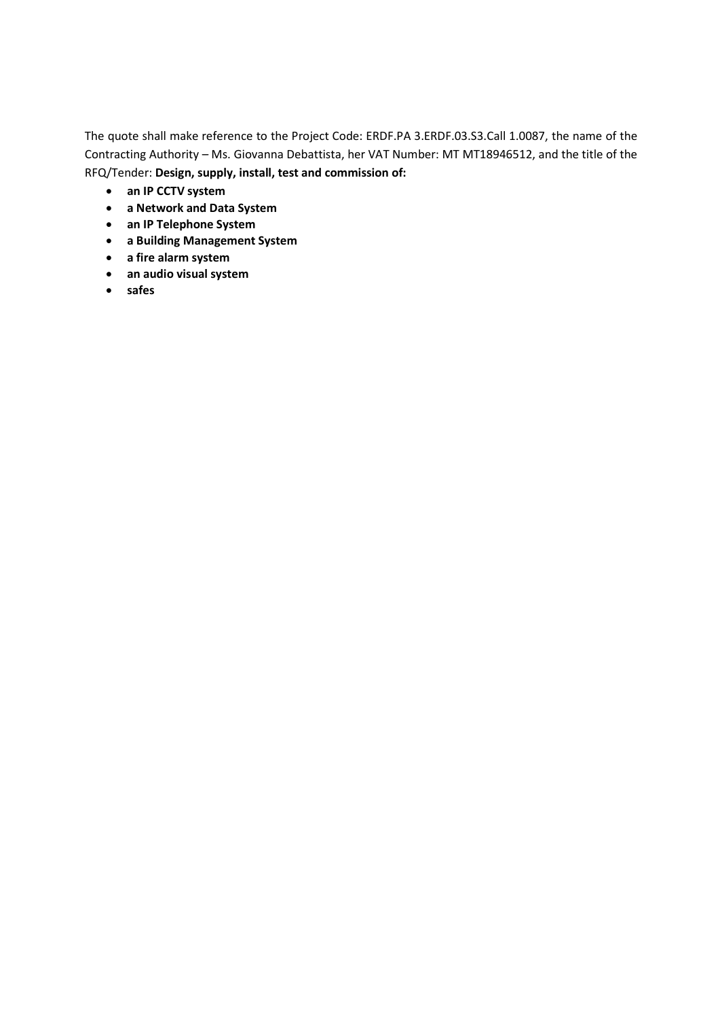The quote shall make reference to the Project Code: ERDF.PA 3.ERDF.03.S3.Call 1.0087, the name of the Contracting Authority – Ms. Giovanna Debattista, her VAT Number: MT MT18946512, and the title of the RFQ/Tender: Design, supply, install, test and commission of:

- an IP CCTV system
- a Network and Data System
- an IP Telephone System
- a Building Management System
- a fire alarm system
- an audio visual system
- safes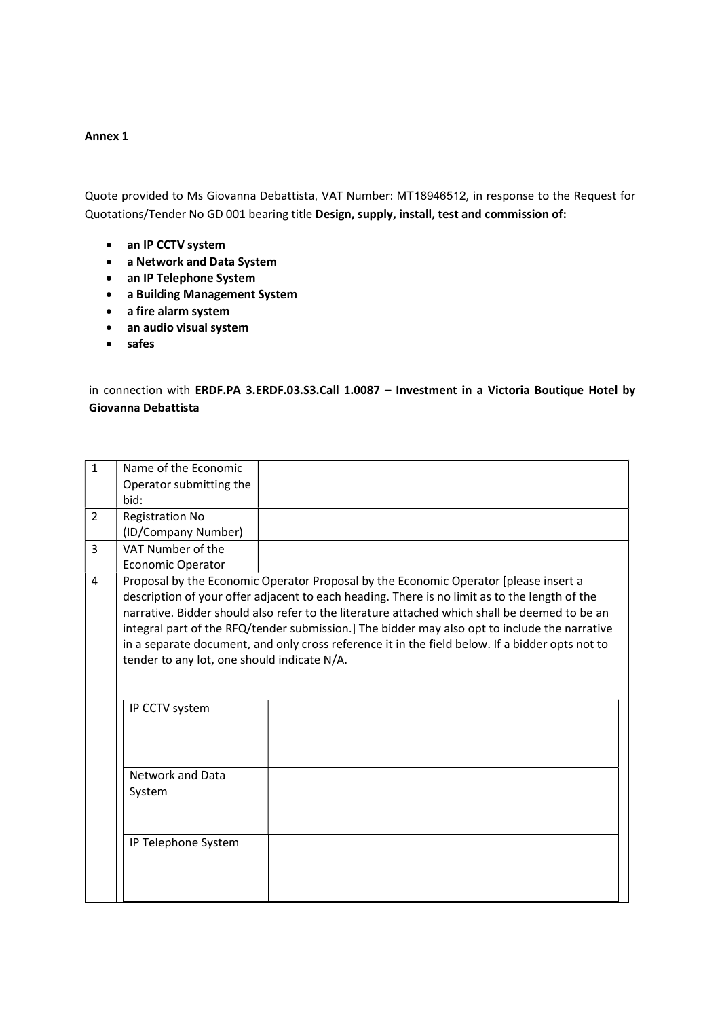### Annex 1

Quote provided to Ms Giovanna Debattista, VAT Number: MT18946512, in response to the Request for Quotations/Tender No GD 001 bearing title Design, supply, install, test and commission of:

- an IP CCTV system
- a Network and Data System
- an IP Telephone System
- a Building Management System
- a fire alarm system
- an audio visual system
- safes

in connection with ERDF.PA 3.ERDF.03.S3.Call 1.0087 – Investment in a Victoria Boutique Hotel by Giovanna Debattista

| $\mathbf{1}$   | Name of the Economic                                                                                                                                                                                                                                                                                                                                                                                                                                                                                                                      |  |  |
|----------------|-------------------------------------------------------------------------------------------------------------------------------------------------------------------------------------------------------------------------------------------------------------------------------------------------------------------------------------------------------------------------------------------------------------------------------------------------------------------------------------------------------------------------------------------|--|--|
|                | Operator submitting the                                                                                                                                                                                                                                                                                                                                                                                                                                                                                                                   |  |  |
|                | bid:                                                                                                                                                                                                                                                                                                                                                                                                                                                                                                                                      |  |  |
| $\overline{2}$ | <b>Registration No</b>                                                                                                                                                                                                                                                                                                                                                                                                                                                                                                                    |  |  |
|                | (ID/Company Number)                                                                                                                                                                                                                                                                                                                                                                                                                                                                                                                       |  |  |
| 3              | VAT Number of the                                                                                                                                                                                                                                                                                                                                                                                                                                                                                                                         |  |  |
|                | <b>Economic Operator</b>                                                                                                                                                                                                                                                                                                                                                                                                                                                                                                                  |  |  |
| 4              | Proposal by the Economic Operator Proposal by the Economic Operator [please insert a<br>description of your offer adjacent to each heading. There is no limit as to the length of the<br>narrative. Bidder should also refer to the literature attached which shall be deemed to be an<br>integral part of the RFQ/tender submission.] The bidder may also opt to include the narrative<br>in a separate document, and only cross reference it in the field below. If a bidder opts not to<br>tender to any lot, one should indicate N/A. |  |  |
|                | IP CCTV system<br>Network and Data<br>System                                                                                                                                                                                                                                                                                                                                                                                                                                                                                              |  |  |
|                | IP Telephone System                                                                                                                                                                                                                                                                                                                                                                                                                                                                                                                       |  |  |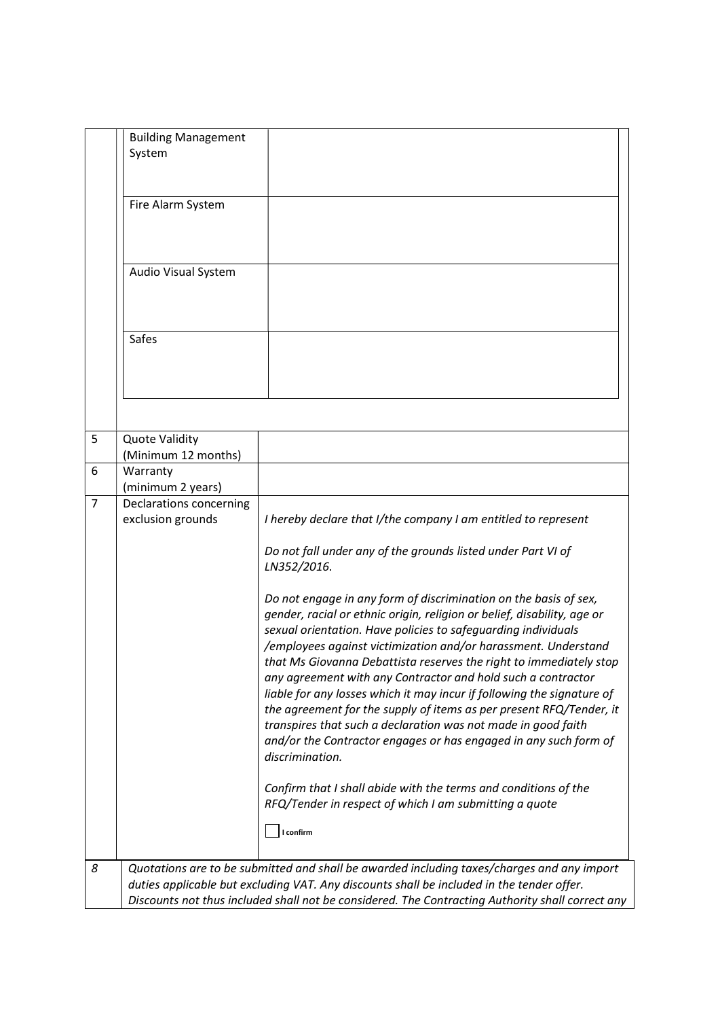|                | <b>Building Management</b><br>System         |                                                                                                                                                                                                                                                                                                                                                                                                                                                                                                                                                                                                                                                                                                                               |
|----------------|----------------------------------------------|-------------------------------------------------------------------------------------------------------------------------------------------------------------------------------------------------------------------------------------------------------------------------------------------------------------------------------------------------------------------------------------------------------------------------------------------------------------------------------------------------------------------------------------------------------------------------------------------------------------------------------------------------------------------------------------------------------------------------------|
|                | Fire Alarm System                            |                                                                                                                                                                                                                                                                                                                                                                                                                                                                                                                                                                                                                                                                                                                               |
|                | Audio Visual System                          |                                                                                                                                                                                                                                                                                                                                                                                                                                                                                                                                                                                                                                                                                                                               |
|                | Safes                                        |                                                                                                                                                                                                                                                                                                                                                                                                                                                                                                                                                                                                                                                                                                                               |
|                |                                              |                                                                                                                                                                                                                                                                                                                                                                                                                                                                                                                                                                                                                                                                                                                               |
| 5              | <b>Quote Validity</b><br>(Minimum 12 months) |                                                                                                                                                                                                                                                                                                                                                                                                                                                                                                                                                                                                                                                                                                                               |
| 6              | Warranty                                     |                                                                                                                                                                                                                                                                                                                                                                                                                                                                                                                                                                                                                                                                                                                               |
|                | (minimum 2 years)                            |                                                                                                                                                                                                                                                                                                                                                                                                                                                                                                                                                                                                                                                                                                                               |
| $\overline{7}$ | Declarations concerning<br>exclusion grounds | I hereby declare that I/the company I am entitled to represent                                                                                                                                                                                                                                                                                                                                                                                                                                                                                                                                                                                                                                                                |
|                |                                              | Do not fall under any of the grounds listed under Part VI of<br>LN352/2016.                                                                                                                                                                                                                                                                                                                                                                                                                                                                                                                                                                                                                                                   |
|                |                                              | Do not engage in any form of discrimination on the basis of sex,<br>gender, racial or ethnic origin, religion or belief, disability, age or<br>sexual orientation. Have policies to safeguarding individuals<br>/employees against victimization and/or harassment. Understand<br>that Ms Giovanna Debattista reserves the right to immediately stop<br>any agreement with any Contractor and hold such a contractor<br>liable for any losses which it may incur if following the signature of<br>the agreement for the supply of items as per present RFQ/Tender, it<br>transpires that such a declaration was not made in good faith<br>and/or the Contractor engages or has engaged in any such form of<br>discrimination. |
|                |                                              | Confirm that I shall abide with the terms and conditions of the<br>RFQ/Tender in respect of which I am submitting a quote<br>I confirm                                                                                                                                                                                                                                                                                                                                                                                                                                                                                                                                                                                        |
|                |                                              |                                                                                                                                                                                                                                                                                                                                                                                                                                                                                                                                                                                                                                                                                                                               |
| 8              |                                              | Quotations are to be submitted and shall be awarded including taxes/charges and any import<br>duties applicable but excluding VAT. Any discounts shall be included in the tender offer.<br>Discounts not thus included shall not be considered. The Contracting Authority shall correct any                                                                                                                                                                                                                                                                                                                                                                                                                                   |